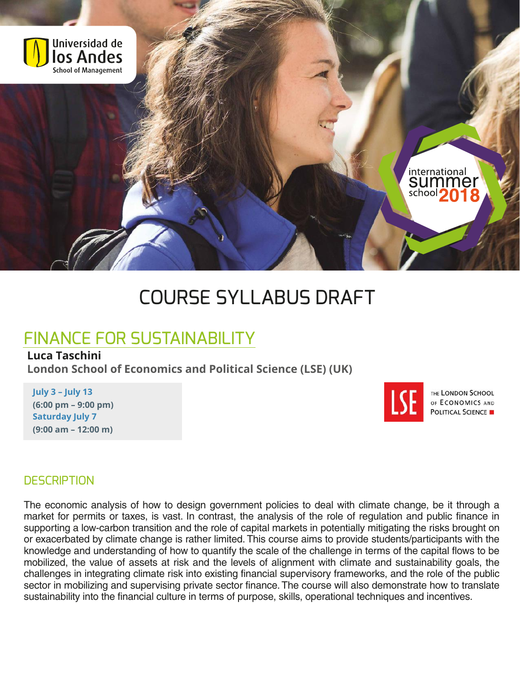

# COURSE SYLLABUS DRAFT

## FINANCE FOR SUSTAINABILITY

#### **Luca Taschini**

**London School of Economics and Political Science (LSE) (UK)** 

#### **July 3 – July 13 (6:00 pm – 9:00 pm) Saturday July 7 (9:00 am – 12:00 m)**



THE LONDON SCHOOL OF ECONOMICS AND **POLITICAL SCIENCE IN** 

#### **DESCRIPTION**

The economic analysis of how to design government policies to deal with climate change, be it through a market for permits or taxes, is vast. In contrast, the analysis of the role of regulation and public finance in supporting a low-carbon transition and the role of capital markets in potentially mitigating the risks brought on or exacerbated by climate change is rather limited. This course aims to provide students/participants with the knowledge and understanding of how to quantify the scale of the challenge in terms of the capital flows to be mobilized, the value of assets at risk and the levels of alignment with climate and sustainability goals, the challenges in integrating climate risk into existing financial supervisory frameworks, and the role of the public sector in mobilizing and supervising private sector finance. The course will also demonstrate how to translate sustainability into the financial culture in terms of purpose, skills, operational techniques and incentives.